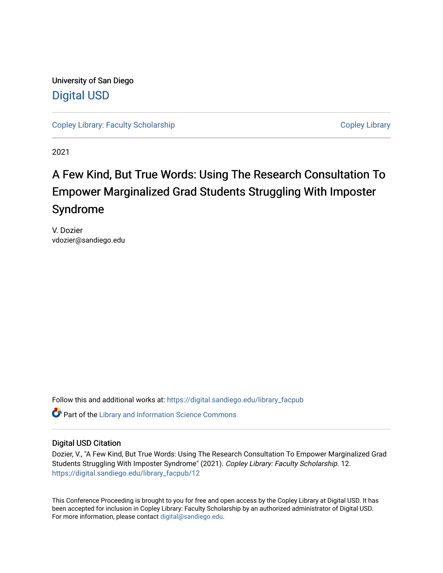University of San Diego [Digital USD](https://digital.sandiego.edu/)

[Copley Library: Faculty Scholarship](https://digital.sandiego.edu/library_facpub) [Copley Library](https://digital.sandiego.edu/copley) Copley Library

2021

## A Few Kind, But True Words: Using The Research Consultation To Empower Marginalized Grad Students Struggling With Imposter Syndrome

V. Dozier vdozier@sandiego.edu

Follow this and additional works at: [https://digital.sandiego.edu/library\\_facpub](https://digital.sandiego.edu/library_facpub?utm_source=digital.sandiego.edu%2Flibrary_facpub%2F12&utm_medium=PDF&utm_campaign=PDFCoverPages) 

**C** Part of the Library and Information Science Commons

### Digital USD Citation

Dozier, V., "A Few Kind, But True Words: Using The Research Consultation To Empower Marginalized Grad Students Struggling With Imposter Syndrome" (2021). Copley Library: Faculty Scholarship. 12. [https://digital.sandiego.edu/library\\_facpub/12](https://digital.sandiego.edu/library_facpub/12?utm_source=digital.sandiego.edu%2Flibrary_facpub%2F12&utm_medium=PDF&utm_campaign=PDFCoverPages)

This Conference Proceeding is brought to you for free and open access by the Copley Library at Digital USD. It has been accepted for inclusion in Copley Library: Faculty Scholarship by an authorized administrator of Digital USD. For more information, please contact [digital@sandiego.edu](mailto:digital@sandiego.edu).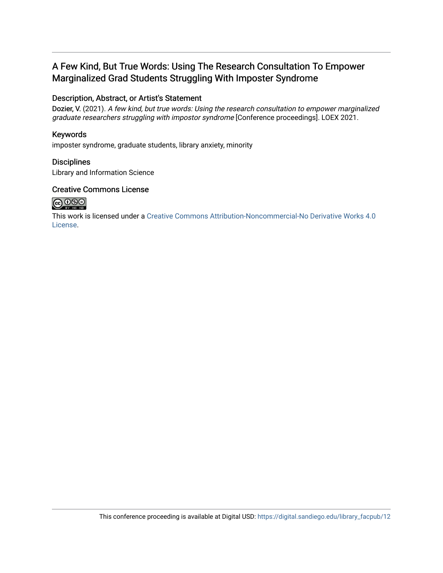## A Few Kind, But True Words: Using The Research Consultation To Empower Marginalized Grad Students Struggling With Imposter Syndrome

### Description, Abstract, or Artist's Statement

Dozier, V. (2021). A few kind, but true words: Using the research consultation to empower marginalized graduate researchers struggling with impostor syndrome [Conference proceedings]. LOEX 2021.

### Keywords

imposter syndrome, graduate students, library anxiety, minority

### **Disciplines**

Library and Information Science

### Creative Commons License



This work is licensed under a [Creative Commons Attribution-Noncommercial-No Derivative Works 4.0](https://creativecommons.org/licenses/by-nc-nd/4.0/) [License](https://creativecommons.org/licenses/by-nc-nd/4.0/).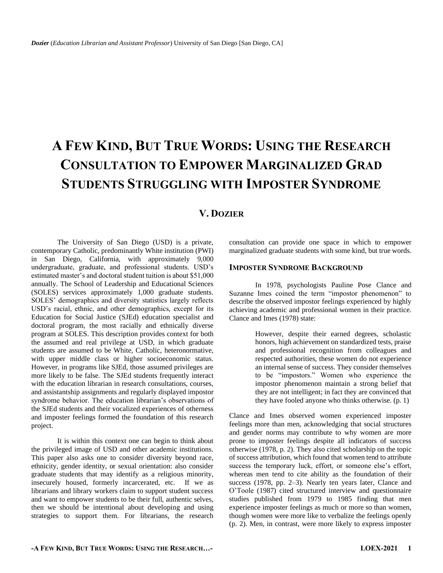# **A FEW KIND, BUT TRUE WORDS: USING THE RESEARCH CONSULTATION TO EMPOWER MARGINALIZED GRAD STUDENTS STRUGGLING WITH IMPOSTER SYNDROME**

### **V. DOZIER**

The University of San Diego (USD) is a private, contemporary Catholic, predominantly White institution (PWI) in San Diego, California, with approximately 9,000 undergraduate, graduate, and professional students. USD's estimated master's and doctoral student tuition is about \$51,000 annually. The School of Leadership and Educational Sciences (SOLES) services approximately 1,000 graduate students. SOLES' demographics and diversity statistics largely reflects USD's racial, ethnic, and other demographics, except for its Education for Social Justice (SJEd) education specialist and doctoral program, the most racially and ethnically diverse program at SOLES. This description provides context for both the assumed and real privilege at USD, in which graduate students are assumed to be White, Catholic, heteronormative, with upper middle class or higher socioeconomic status. However, in programs like SJEd, those assumed privileges are more likely to be false. The SJEd students frequently interact with the education librarian in research consultations, courses, and assistantship assignments and regularly displayed impostor syndrome behavior. The education librarian's observations of the SJEd students and their vocalized experiences of otherness and imposter feelings formed the foundation of this research project.

It is within this context one can begin to think about the privileged image of USD and other academic institutions. This paper also asks one to consider diversity beyond race, ethnicity, gender identity, or sexual orientation: also consider graduate students that may identify as a religious minority, insecurely housed, formerly incarcerated, etc. If we as librarians and library workers claim to support student success and want to empower students to be their full, authentic selves, then we should be intentional about developing and using strategies to support them. For librarians, the research

consultation can provide one space in which to empower marginalized graduate students with some kind, but true words.

#### **IMPOSTER SYNDROME BACKGROUND**

In 1978, psychologists Pauline Pose Clance and Suzanne Imes coined the term "impostor phenomenon" to describe the observed impostor feelings experienced by highly achieving academic and professional women in their practice. Clance and Imes (1978) state:

> However, despite their earned degrees, scholastic honors, high achievement on standardized tests, praise and professional recognition from colleagues and respected authorities, these women do not experience an internal sense of success. They consider themselves to be "impostors." Women who experience the impostor phenomenon maintain a strong belief that they are not intelligent; in fact they are convinced that they have fooled anyone who thinks otherwise. (p. 1)

Clance and Imes observed women experienced imposter feelings more than men, acknowledging that social structures and gender norms may contribute to why women are more prone to imposter feelings despite all indicators of success otherwise (1978, p. 2). They also cited scholarship on the topic of success attribution, which found that women tend to attribute success the temporary luck, effort, or someone else's effort, whereas men tend to cite ability as the foundation of their success (1978, pp. 2–3). Nearly ten years later, Clance and O'Toole (1987) cited structured interview and questionnaire studies published from 1979 to 1985 finding that men experience imposter feelings as much or more so than women, though women were more like to verbalize the feelings openly (p. 2). Men, in contrast, were more likely to express imposter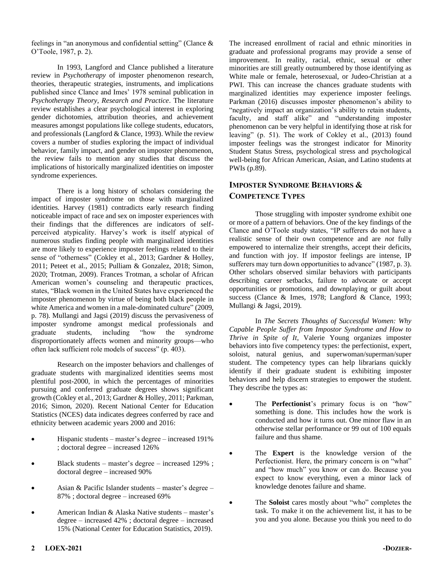feelings in "an anonymous and confidential setting" (Clance & O'Toole, 1987, p. 2).

In 1993, Langford and Clance published a literature review in *Psychotherapy* of imposter phenomenon research, theories, therapeutic strategies, instruments, and implications published since Clance and Imes' 1978 seminal publication in *Psychotherapy Theory, Research and Practice*. The literature review establishes a clear psychological interest in exploring gender dichotomies, attribution theories, and achievement measures amongst populations like college students, educators, and professionals (Langford & Clance, 1993). While the review covers a number of studies exploring the impact of individual behavior, family impact, and gender on imposter phenomenon, the review fails to mention any studies that discuss the implications of historically marginalized identities on imposter syndrome experiences.

There is a long history of scholars considering the impact of imposter syndrome on those with marginalized identities. Harvey (1981) contradicts early research finding noticeable impact of race and sex on imposter experiences with their findings that the differences are indicators of selfperceived atypicality. Harvey's work is itself atypical of numerous studies finding people with marginalized identities are more likely to experience imposter feelings related to their sense of "otherness" (Cokley et al., 2013; Gardner & Holley, 2011; Peteet et al., 2015; Pulliam & Gonzalez, 2018; Simon, 2020; Trotman, 2009). Frances Trotman, a scholar of African American women's counseling and therapeutic practices, states, "Black women in the United States have experienced the imposter phenomenon by virtue of being both black people in white America and women in a male-dominated culture" (2009, p. 78). Mullangi and Jagsi (2019) discuss the pervasiveness of imposter syndrome amongst medical professionals and graduate students, including "how the syndrome disproportionately affects women and minority groups—who often lack sufficient role models of success" (p. 403).

Research on the imposter behaviors and challenges of graduate students with marginalized identities seems most plentiful post-2000, in which the percentages of minorities pursuing and conferred graduate degrees shows significant growth (Cokley et al., 2013; Gardner & Holley, 2011; Parkman, 2016; Simon, 2020). Recent National Center for Education Statistics (NCES) data indicates degrees conferred by race and ethnicity between academic years 2000 and 2016:

- Hispanic students master's degree increased 191% ; doctoral degree – increased 126%
- Black students master's degree increased 129% ; doctoral degree – increased 90%
- Asian & Pacific Islander students master's degree 87% ; doctoral degree – increased 69%
- American Indian & Alaska Native students master's degree – increased 42% ; doctoral degree – increased 15% (National Center for Education Statistics, 2019).

The increased enrollment of racial and ethnic minorities in graduate and professional programs may provide a sense of improvement. In reality, racial, ethnic, sexual or other minorities are still greatly outnumbered by those identifying as White male or female, heterosexual, or Judeo-Christian at a PWI. This can increase the chances graduate students with marginalized identities may experience imposter feelings. Parkman (2016) discusses imposter phenomenon's ability to "negatively impact an organization's ability to retain students, faculty, and staff alike" and "understanding imposter phenomenon can be very helpful in identifying those at risk for leaving" (p. 51). The work of Cokley et al., (2013) found imposter feelings was the strongest indicator for Minority Student Status Stress, psychological stress and psychological well-being for African American, Asian, and Latino students at PWIs (p.89).

### **IMPOSTER SYNDROME BEHAVIORS & COMPETENCE TYPES**

Those struggling with imposter syndrome exhibit one or more of a pattern of behaviors. One of the key findings of the Clance and O'Toole study states, "IP sufferers do not have a realistic sense of their own competence and are *not* fully empowered to internalize their strengths, accept their deficits, and function with joy. If impostor feelings are intense, IP sufferers may turn down opportunities to advance" (1987, p. 3). Other scholars observed similar behaviors with participants describing career setbacks, failure to advocate or accept opportunities or promotions, and downplaying or guilt about success (Clance & Imes, 1978; Langford & Clance, 1993; Mullangi & Jagsi, 2019).

In *The Secrets Thoughts of Successful Women: Why Capable People Suffer from Impostor Syndrome and How to Thrive in Spite of It*, Valerie Young organizes imposter behaviors into five competency types: the perfectionist, expert, soloist, natural genius, and superwoman/superman/super student. The competency types can help librarians quickly identify if their graduate student is exhibiting imposter behaviors and help discern strategies to empower the student. They describe the types as:

- The **Perfectionist**'s primary focus is on "how" something is done. This includes how the work is conducted and how it turns out. One minor flaw in an otherwise stellar performance or 99 out of 100 equals failure and thus shame.
- The **Expert** is the knowledge version of the Perfectionist. Here, the primary concern is on "what" and "how much" you know or can do. Because you expect to know everything, even a minor lack of knowledge denotes failure and shame.
- The **Soloist** cares mostly about "who" completes the task. To make it on the achievement list, it has to be you and you alone. Because you think you need to do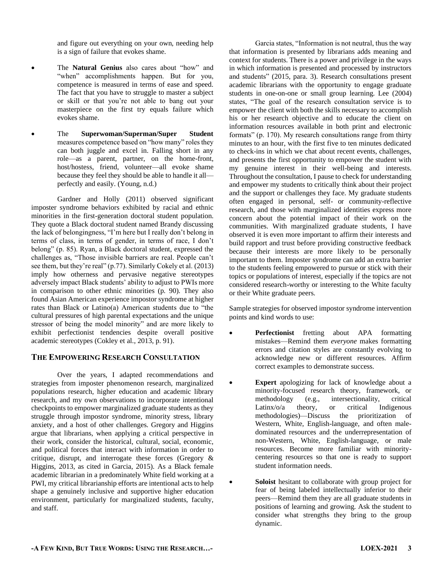and figure out everything on your own, needing help is a sign of failure that evokes shame.

- The **Natural Genius** also cares about "how" and "when" accomplishments happen. But for you, competence is measured in terms of ease and speed. The fact that you have to struggle to master a subject or skill or that you're not able to bang out your masterpiece on the first try equals failure which evokes shame.
- The **Superwoman/Superman/Super Student** measures competence based on "how many" roles they can both juggle and excel in. Falling short in any role—as a parent, partner, on the home-front, host/hostess, friend, volunteer—all evoke shame because they feel they should be able to handle it all perfectly and easily. (Young, n.d.)

Gardner and Holly (2011) observed significant imposter syndrome behaviors exhibited by racial and ethnic minorities in the first-generation doctoral student population. They quote a Black doctoral student named Brandy discussing the lack of belongingness, "I'm here but I really don't belong in terms of class, in terms of gender, in terms of race, I don't belong" (p. 85). Ryan, a Black doctoral student, expressed the challenges as, "Those invisible barriers are real. People can't see them, but they're real" (p.77). Similarly Cokely et al. (2013) imply how otherness and pervasive negative stereotypes adversely impact Black students' ability to adjust to PWIs more in comparison to other ethnic minorities (p. 90). They also found Asian American experience impostor syndrome at higher rates than Black or Latino(a) American students due to "the cultural pressures of high parental expectations and the unique stressor of being the model minority" and are more likely to exhibit perfectionist tendencies despite overall positive academic stereotypes (Cokley et al., 2013, p. 91).

### **THE EMPOWERING RESEARCH CONSULTATION**

Over the years, I adapted recommendations and strategies from imposter phenomenon research, marginalized populations research, higher education and academic library research, and my own observations to incorporate intentional checkpoints to empower marginalized graduate students as they struggle through impostor syndrome, minority stress, library anxiety, and a host of other challenges. Gregory and Higgins argue that librarians, when applying a critical perspective in their work, consider the historical, cultural, social, economic, and political forces that interact with information in order to critique, disrupt, and interrogate these forces (Gregory & Higgins, 2013, as cited in Garcia, 2015). As a Black female academic librarian in a predominately White field working at a PWI, my critical librarianship efforts are intentional acts to help shape a genuinely inclusive and supportive higher education environment, particularly for marginalized students, faculty, and staff.

Garcia states, "Information is not neutral, thus the way that information is presented by librarians adds meaning and context for students. There is a power and privilege in the ways in which information is presented and processed by instructors and students" (2015, para. 3). Research consultations present academic librarians with the opportunity to engage graduate students in one-on-one or small group learning. Lee (2004) states, "The goal of the research consultation service is to empower the client with both the skills necessary to accomplish his or her research objective and to educate the client on information resources available in both print and electronic formats" (p. 170). My research consultations range from thirty minutes to an hour, with the first five to ten minutes dedicated to check-ins in which we chat about recent events, challenges, and presents the first opportunity to empower the student with my genuine interest in their well-being and interests. Throughout the consultation, I pause to check for understanding and empower my students to critically think about their project and the support or challenges they face. My graduate students often engaged in personal, self- or community-reflective research, and those with marginalized identities express more concern about the potential impact of their work on the communities. With marginalized graduate students, I have observed it is even more important to affirm their interests and build rapport and trust before providing constructive feedback because their interests are more likely to be personally important to them. Imposter syndrome can add an extra barrier to the students feeling empowered to pursue or stick with their topics or populations of interest, especially if the topics are not considered research-worthy or interesting to the White faculty or their White graduate peers.

Sample strategies for observed impostor syndrome intervention points and kind words to use:

- **Perfectionist** fretting about APA formatting mistakes—Remind them *everyone* makes formatting errors and citation styles are constantly evolving to acknowledge new or different resources. Affirm correct examples to demonstrate success.
- **Expert** apologizing for lack of knowledge about a minority-focused research theory, framework, or methodology (e.g., intersectionality, critical Latinx/o/a theory, or critical Indigenous methodologies)—Discuss the prioritization of Western, White, English-language, and often maledominated resources and the underrepresentation of non-Western, White, English-language, or male resources. Become more familiar with minoritycentering resources so that one is ready to support student information needs.
- Soloist hesitant to collaborate with group project for fear of being labeled intellectually inferior to their peers—Remind them they are all graduate students in positions of learning and growing. Ask the student to consider what strengths they bring to the group dynamic.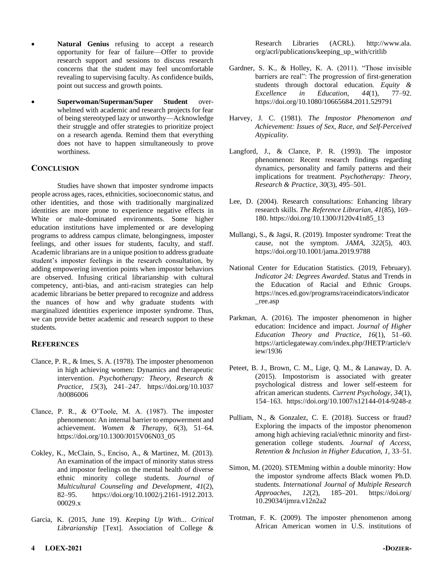- **Natural Genius** refusing to accept a research opportunity for fear of failure—Offer to provide research support and sessions to discuss research concerns that the student may feel uncomfortable revealing to supervising faculty. As confidence builds, point out success and growth points.
- **Superwoman/Superman/Super Student** overwhelmed with academic and research projects for fear of being stereotyped lazy or unworthy—Acknowledge their struggle and offer strategies to prioritize project on a research agenda. Remind them that everything does not have to happen simultaneously to prove worthiness.

#### **CONCLUSION**

Studies have shown that imposter syndrome impacts people across ages, races, ethnicities, socioeconomic status, and other identities, and those with traditionally marginalized identities are more prone to experience negative effects in White or male-dominated environments. Some higher education institutions have implemented or are developing programs to address campus climate, belongingness, imposter feelings, and other issues for students, faculty, and staff. Academic librarians are in a unique position to address graduate student's imposter feelings in the research consultation, by adding empowering invention points when impostor behaviors are observed. Infusing critical librarianship with cultural competency, anti-bias, and anti-racism strategies can help academic librarians be better prepared to recognize and address the nuances of how and why graduate students with marginalized identities experience imposter syndrome. Thus, we can provide better academic and research support to these students.

### **REFERENCES**

- Clance, P. R., & Imes, S. A. (1978). The imposter phenomenon in high achieving women: Dynamics and therapeutic intervention. *Psychotherapy: Theory, Research & Practice*, *15*(3), 241–247. https://doi.org/10.1037 /h0086006
- Clance, P. R., & O'Toole, M. A. (1987). The imposter phenomenon: An internal barrier to empowerment and achievement. *Women & Therapy*, *6*(3), 51–64. https://doi.org/10.1300/J015V06N03\_05
- Cokley, K., McClain, S., Enciso, A., & Martinez, M. (2013). An examination of the impact of minority status stress and impostor feelings on the mental health of diverse ethnic minority college students. *Journal of Multicultural Counseling and Development*, *41*(2), 82–95. https://doi.org/10.1002/j.2161-1912.2013. 00029.x
- Garcia, K. (2015, June 19). *Keeping Up With... Critical Librarianship* [Text]. Association of College &

Research Libraries (ACRL). http://www.ala. org/acrl/publications/keeping\_up\_with/critlib

- Gardner, S. K., & Holley, K. A. (2011). "Those invisible barriers are real": The progression of first-generation students through doctoral education. *Equity & Excellence in Education*, *44*(1), 77–92. https://doi.org/10.1080/10665684.2011.529791
- Harvey, J. C. (1981). *The Impostor Phenomenon and Achievement: Issues of Sex, Race, and Self-Perceived Atypicality*.
- Langford, J., & Clance, P. R. (1993). The impostor phenomenon: Recent research findings regarding dynamics, personality and family patterns and their implications for treatment. *Psychotherapy: Theory, Research & Practice*, *30*(3), 495–501.
- Lee, D. (2004). Research consultations: Enhancing library research skills. *The Reference Librarian*, *41*(85), 169– 180. https://doi.org/10.1300/J120v41n85\_13
- Mullangi, S., & Jagsi, R. (2019). Imposter syndrome: Treat the cause, not the symptom. *JAMA*, *322*(5), 403. https://doi.org/10.1001/jama.2019.9788
- National Center for Education Statistics. (2019, February). *Indicator 24: Degrees Awarded*. Status and Trends in the Education of Racial and Ethnic Groups. https://nces.ed.gov/programs/raceindicators/indicator \_ree.asp
- Parkman, A. (2016). The imposter phenomenon in higher education: Incidence and impact. *Journal of Higher Education Theory and Practice*, *16*(1), 51–60. https://articlegateway.com/index.php/JHETP/article/v iew/1936
- Peteet, B. J., Brown, C. M., Lige, Q. M., & Lanaway, D. A. (2015). Impostorism is associated with greater psychological distress and lower self-esteem for african american students. *Current Psychology*, *34*(1), 154–163. https://doi.org/10.1007/s12144-014-9248-z
- Pulliam, N., & Gonzalez, C. E. (2018). Success or fraud? Exploring the impacts of the impostor phenomenon among high achieving racial/ethnic minority and firstgeneration college students. *Journal of Access, Retention & Inclusion in Higher Education*, *1*, 33–51.
- Simon, M. (2020). STEMming within a double minority: How the impostor syndrome affects Black women Ph.D. students. *International Journal of Multiple Research Approaches*, *12*(2), 185–201. https://doi.org/ 10.29034/ijmra.v12n2a2
- Trotman, F. K. (2009). The imposter phenomenon among African American women in U.S. institutions of